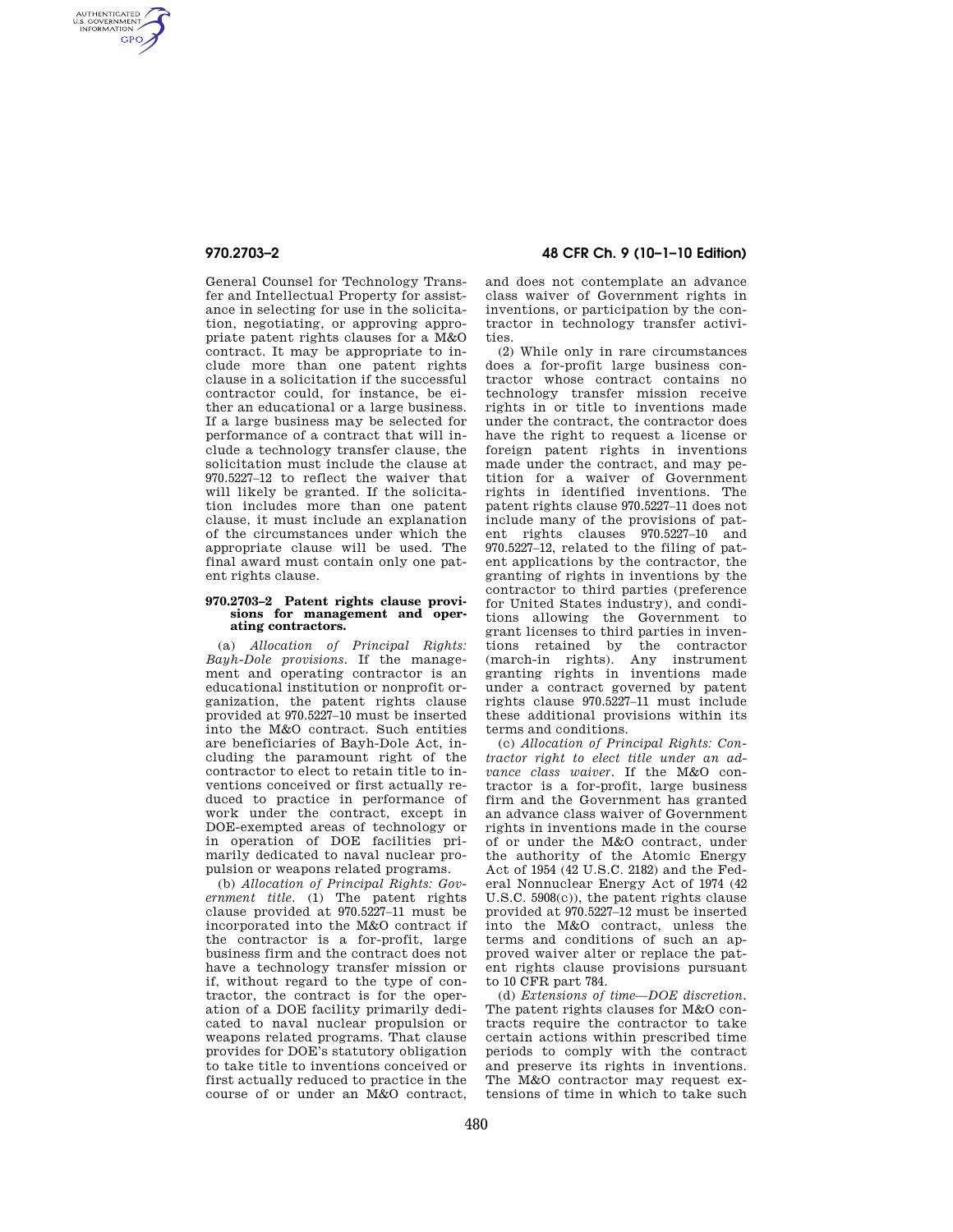AUTHENTICATED<br>U.S. GOVERNMENT<br>INFORMATION **GPO** 

> General Counsel for Technology Transfer and Intellectual Property for assistance in selecting for use in the solicitation, negotiating, or approving appropriate patent rights clauses for a M&O contract. It may be appropriate to include more than one patent rights clause in a solicitation if the successful contractor could, for instance, be either an educational or a large business. If a large business may be selected for performance of a contract that will include a technology transfer clause, the solicitation must include the clause at 970.5227–12 to reflect the waiver that will likely be granted. If the solicitation includes more than one patent clause, it must include an explanation of the circumstances under which the appropriate clause will be used. The final award must contain only one patent rights clause.

## **970.2703–2 Patent rights clause provisions for management and operating contractors.**

(a) *Allocation of Principal Rights: Bayh-Dole provisions.* If the management and operating contractor is an educational institution or nonprofit organization, the patent rights clause provided at 970.5227–10 must be inserted into the M&O contract. Such entities are beneficiaries of Bayh-Dole Act, including the paramount right of the contractor to elect to retain title to inventions conceived or first actually reduced to practice in performance of work under the contract, except in DOE-exempted areas of technology or in operation of DOE facilities primarily dedicated to naval nuclear propulsion or weapons related programs.

(b) *Allocation of Principal Rights: Government title.* (1) The patent rights clause provided at 970.5227–11 must be incorporated into the M&O contract if the contractor is a for-profit, large business firm and the contract does not have a technology transfer mission or if, without regard to the type of contractor, the contract is for the operation of a DOE facility primarily dedicated to naval nuclear propulsion or weapons related programs. That clause provides for DOE's statutory obligation to take title to inventions conceived or first actually reduced to practice in the course of or under an M&O contract,

# **970.2703–2 48 CFR Ch. 9 (10–1–10 Edition)**

and does not contemplate an advance class waiver of Government rights in inventions, or participation by the contractor in technology transfer activities.

(2) While only in rare circumstances does a for-profit large business contractor whose contract contains no technology transfer mission receive rights in or title to inventions made under the contract, the contractor does have the right to request a license or foreign patent rights in inventions made under the contract, and may petition for a waiver of Government rights in identified inventions. The patent rights clause 970.5227–11 does not include many of the provisions of patent rights clauses 970.5227–10 and 970.5227–12, related to the filing of patent applications by the contractor, the granting of rights in inventions by the contractor to third parties (preference for United States industry), and conditions allowing the Government to grant licenses to third parties in inventions retained by the contractor (march-in rights). Any instrument granting rights in inventions made under a contract governed by patent rights clause 970.5227–11 must include these additional provisions within its terms and conditions.

(c) *Allocation of Principal Rights: Contractor right to elect title under an advance class waiver.* If the M&O contractor is a for-profit, large business firm and the Government has granted an advance class waiver of Government rights in inventions made in the course of or under the M&O contract, under the authority of the Atomic Energy Act of 1954 (42 U.S.C. 2182) and the Federal Nonnuclear Energy Act of 1974 (42 U.S.C. 5908(c)), the patent rights clause provided at 970.5227–12 must be inserted into the M&O contract, unless the terms and conditions of such an approved waiver alter or replace the patent rights clause provisions pursuant to 10 CFR part 784.

(d) *Extensions of time—DOE discretion.*  The patent rights clauses for M&O contracts require the contractor to take certain actions within prescribed time periods to comply with the contract and preserve its rights in inventions. The M&O contractor may request extensions of time in which to take such